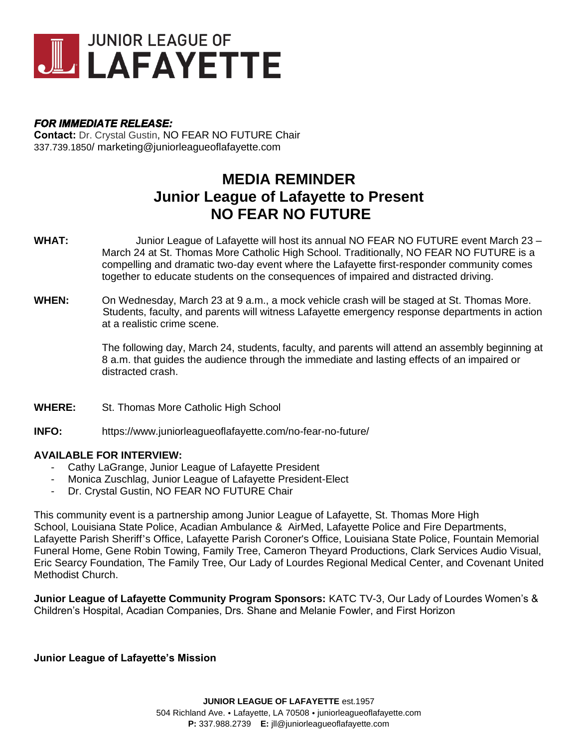

## *FOR IMMEDIATE RELEASE:*

**Contact:** Dr. Crystal Gustin, NO FEAR NO FUTURE Chair 337.739.1850/ marketing@juniorleagueoflafayette.com

# **MEDIA REMINDER Junior League of Lafayette to Present NO FEAR NO FUTURE**

- **WHAT:** Junior League of Lafayette will host its annual NO FEAR NO FUTURE event March 23 March 24 at St. Thomas More Catholic High School. Traditionally, NO FEAR NO FUTURE is a compelling and dramatic two-day event where the Lafayette first-responder community comes together to educate students on the consequences of impaired and distracted driving.
- **WHEN:** On Wednesday, March 23 at 9 a.m., a mock vehicle crash will be staged at St. Thomas More. Students, faculty, and parents will witness Lafayette emergency response departments in action at a realistic crime scene.

The following day, March 24, students, faculty, and parents will attend an assembly beginning at 8 a.m. that guides the audience through the immediate and lasting effects of an impaired or distracted crash.

- **WHERE:** St. Thomas More Catholic High School
- **INFO:** https://www.juniorleagueoflafayette.com/no-fear-no-future/

## **AVAILABLE FOR INTERVIEW:**

- Cathy LaGrange, Junior League of Lafayette President
- Monica Zuschlag, Junior League of Lafayette President-Elect
- Dr. Crystal Gustin, NO FEAR NO FUTURE Chair

This community event is a partnership among Junior League of Lafayette, St. Thomas More High School, Louisiana State Police, Acadian Ambulance & AirMed, Lafayette Police and Fire Departments, Lafayette Parish Sheriff's Office, Lafayette Parish Coroner's Office, Louisiana State Police, Fountain Memorial Funeral Home, Gene Robin Towing, Family Tree, Cameron Theyard Productions, Clark Services Audio Visual, Eric Searcy Foundation, The Family Tree, Our Lady of Lourdes Regional Medical Center, and Covenant United Methodist Church.

**Junior League of Lafayette Community Program Sponsors:** KATC TV-3, Our Lady of Lourdes Women's & Children's Hospital, Acadian Companies, Drs. Shane and Melanie Fowler, and First Horizon

#### **Junior League of Lafayette's Mission**